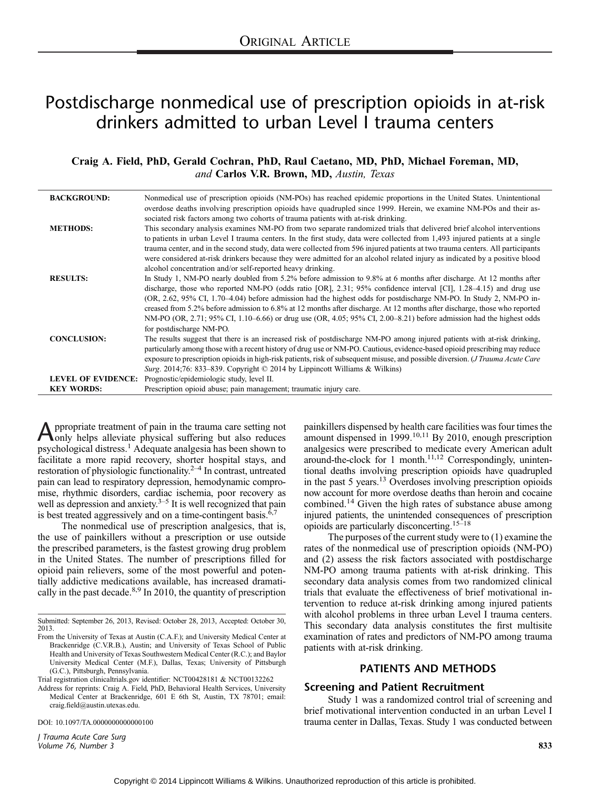# Postdischarge nonmedical use of prescription opioids in at-risk drinkers admitted to urban Level I trauma centers

### Craig A. Field, PhD, Gerald Cochran, PhD, Raul Caetano, MD, PhD, Michael Foreman, MD, and Carlos V.R. Brown, MD, Austin, Texas

| <b>BACKGROUND:</b>        | Nonmedical use of prescription opioids (NM-POs) has reached epidemic proportions in the United States. Unintentional<br>overdose deaths involving prescription opioids have quadrupled since 1999. Herein, we examine NM-POs and their as-<br>sociated risk factors among two cohorts of trauma patients with at-risk drinking. |
|---------------------------|---------------------------------------------------------------------------------------------------------------------------------------------------------------------------------------------------------------------------------------------------------------------------------------------------------------------------------|
| <b>METHODS:</b>           | This secondary analysis examines NM-PO from two separate randomized trials that delivered brief alcohol interventions                                                                                                                                                                                                           |
|                           | to patients in urban Level I trauma centers. In the first study, data were collected from 1,493 injured patients at a single                                                                                                                                                                                                    |
|                           | trauma center, and in the second study, data were collected from 596 injured patients at two trauma centers. All participants<br>were considered at-risk drinkers because they were admitted for an alcohol related injury as indicated by a positive blood                                                                     |
|                           | alcohol concentration and/or self-reported heavy drinking.                                                                                                                                                                                                                                                                      |
| <b>RESULTS:</b>           | In Study 1, NM-PO nearly doubled from 5.2% before admission to 9.8% at 6 months after discharge. At 12 months after                                                                                                                                                                                                             |
|                           | discharge, those who reported NM-PO (odds ratio [OR], 2.31; 95% confidence interval [CI], 1.28–4.15) and drug use                                                                                                                                                                                                               |
|                           | (OR, 2.62, 95% CI, 1.70–4.04) before admission had the highest odds for postdischarge NM-PO. In Study 2, NM-PO in-                                                                                                                                                                                                              |
|                           | creased from 5.2% before admission to 6.8% at 12 months after discharge. At 12 months after discharge, those who reported                                                                                                                                                                                                       |
|                           | NM-PO (OR, 2.71; 95% CI, 1.10–6.66) or drug use (OR, 4.05; 95% CI, 2.00–8.21) before admission had the highest odds<br>for postdischarge NM-PO.                                                                                                                                                                                 |
| <b>CONCLUSION:</b>        | The results suggest that there is an increased risk of postdischarge NM-PO among injured patients with at-risk drinking,                                                                                                                                                                                                        |
|                           | particularly among those with a recent history of drug use or NM-PO. Cautious, evidence-based opioid prescribing may reduce                                                                                                                                                                                                     |
|                           | exposure to prescription opioids in high-risk patients, risk of subsequent misuse, and possible diversion. ( <i>J Trauma Acute Care</i>                                                                                                                                                                                         |
|                           | <i>Surg.</i> 2014;76: 833–839. Copyright $\odot$ 2014 by Lippincott Williams & Wilkins)                                                                                                                                                                                                                                         |
| <b>LEVEL OF EVIDENCE:</b> | Prognostic/epidemiologic study, level II.                                                                                                                                                                                                                                                                                       |
| <b>KEY WORDS:</b>         | Prescription opioid abuse; pain management; traumatic injury care.                                                                                                                                                                                                                                                              |

Appropriate treatment of pain in the trauma care setting not<br>
only helps alleviate physical suffering but also reduces psychological distress.<sup>1</sup> Adequate analgesia has been shown to facilitate a more rapid recovery, shorter hospital stays, and restoration of physiologic functionality.<sup>2-4</sup> In contrast, untreated pain can lead to respiratory depression, hemodynamic compromise, rhythmic disorders, cardiac ischemia, poor recovery as well as depression and anxiety. $3-5$  It is well recognized that pain is best treated aggressively and on a time-contingent basis. $\frac{5,7}{2}$ 

The nonmedical use of prescription analgesics, that is, the use of painkillers without a prescription or use outside the prescribed parameters, is the fastest growing drug problem in the United States. The number of prescriptions filled for opioid pain relievers, some of the most powerful and potentially addictive medications available, has increased dramatically in the past decade.<sup>8,9</sup> In 2010, the quantity of prescription

Submitted: September 26, 2013, Revised: October 28, 2013, Accepted: October 30, 2013.

Trial registration clinicaltrials.gov identifier: NCT00428181 & NCT00132262

Address for reprints: Craig A. Field, PhD, Behavioral Health Services, University Medical Center at Brackenridge, 601 E 6th St, Austin, TX 78701; email: [craig.field@austin.utexas.edu.](mailto:craig.field@austin.utexas.edu)

DOI: 10.1097/TA.0000000000000100

J Trauma Acute Care Surg Volume 76, Number 3 833

painkillers dispensed by health care facilities was four times the amount dispensed in  $1999$ .<sup>10,11</sup> By 2010, enough prescription analgesics were prescribed to medicate every American adult around-the-clock for 1 month.<sup>11,12</sup> Correspondingly, unintentional deaths involving prescription opioids have quadrupled in the past 5 years.13 Overdoses involving prescription opioids now account for more overdose deaths than heroin and cocaine combined.<sup>14</sup> Given the high rates of substance abuse among injured patients, the unintended consequences of prescription opioids are particularly disconcerting.<sup>15-18</sup>

The purposes of the current study were to (1) examine the rates of the nonmedical use of prescription opioids (NM-PO) and (2) assess the risk factors associated with postdischarge NM-PO among trauma patients with at-risk drinking. This secondary data analysis comes from two randomized clinical trials that evaluate the effectiveness of brief motivational intervention to reduce at-risk drinking among injured patients with alcohol problems in three urban Level I trauma centers. This secondary data analysis constitutes the first multisite examination of rates and predictors of NM-PO among trauma patients with at-risk drinking.

# PATIENTS AND METHODS

#### Screening and Patient Recruitment

Study 1 was a randomized control trial of screening and brief motivational intervention conducted in an urban Level I trauma center in Dallas, Texas. Study 1 was conducted between

From the University of Texas at Austin (C.A.F.); and University Medical Center at Brackenridge (C.V.R.B.), Austin; and University of Texas School of Public Health and University of Texas Southwestern Medical Center (R.C.); and Baylor University Medical Center (M.F.), Dallas, Texas; University of Pittsburgh (G.C.), Pittsburgh, Pennsylvania.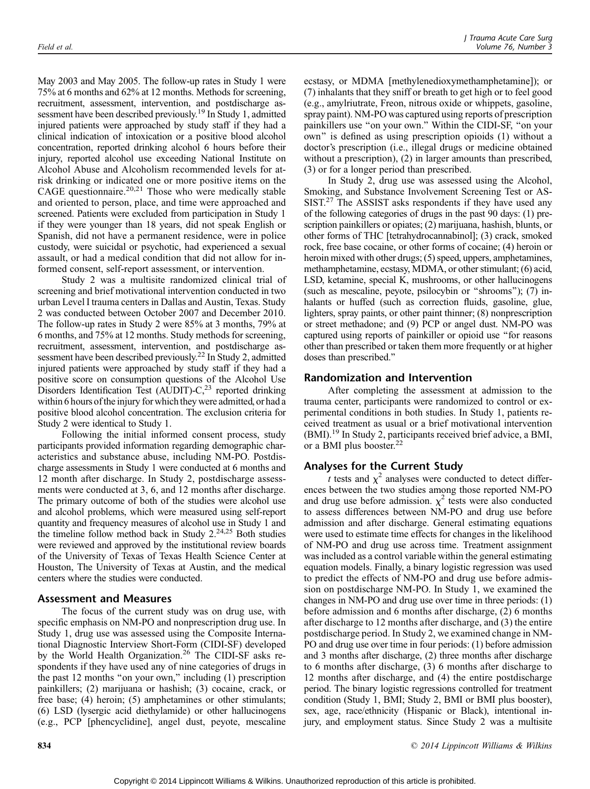May 2003 and May 2005. The follow-up rates in Study 1 were 75% at 6 months and 62% at 12 months. Methods for screening, recruitment, assessment, intervention, and postdischarge assessment have been described previously.<sup>19</sup> In Study 1, admitted injured patients were approached by study staff if they had a clinical indication of intoxication or a positive blood alcohol concentration, reported drinking alcohol 6 hours before their injury, reported alcohol use exceeding National Institute on Alcohol Abuse and Alcoholism recommended levels for atrisk drinking or indicated one or more positive items on the CAGE questionnaire. $20,21$  Those who were medically stable and oriented to person, place, and time were approached and screened. Patients were excluded from participation in Study 1 if they were younger than 18 years, did not speak English or Spanish, did not have a permanent residence, were in police custody, were suicidal or psychotic, had experienced a sexual assault, or had a medical condition that did not allow for informed consent, self-report assessment, or intervention.

Study 2 was a multisite randomized clinical trial of screening and brief motivational intervention conducted in two urban Level I trauma centers in Dallas and Austin, Texas. Study 2 was conducted between October 2007 and December 2010. The follow-up rates in Study 2 were 85% at 3 months, 79% at 6 months, and 75% at 12 months. Study methods for screening, recruitment, assessment, intervention, and postdischarge assessment have been described previously.22 In Study 2, admitted injured patients were approached by study staff if they had a positive score on consumption questions of the Alcohol Use Disorders Identification Test (AUDIT)- $C<sub>2</sub>^{23}$  reported drinking within 6 hours of the injury for which they were admitted, or had a positive blood alcohol concentration. The exclusion criteria for Study 2 were identical to Study 1.

Following the initial informed consent process, study participants provided information regarding demographic characteristics and substance abuse, including NM-PO. Postdischarge assessments in Study 1 were conducted at 6 months and 12 month after discharge. In Study 2, postdischarge assessments were conducted at 3, 6, and 12 months after discharge. The primary outcome of both of the studies were alcohol use and alcohol problems, which were measured using self-report quantity and frequency measures of alcohol use in Study 1 and the timeline follow method back in Study 2.24,25 Both studies were reviewed and approved by the institutional review boards of the University of Texas of Texas Health Science Center at Houston, The University of Texas at Austin, and the medical centers where the studies were conducted.

#### Assessment and Measures

The focus of the current study was on drug use, with specific emphasis on NM-PO and nonprescription drug use. In Study 1, drug use was assessed using the Composite International Diagnostic Interview Short-Form (CIDI-SF) developed by the World Health Organization.<sup>26</sup> The CIDI-SF asks respondents if they have used any of nine categories of drugs in the past 12 months "on your own," including (1) prescription painkillers; (2) marijuana or hashish; (3) cocaine, crack, or free base; (4) heroin; (5) amphetamines or other stimulants; (6) LSD (lysergic acid diethylamide) or other hallucinogens (e.g., PCP [phencyclidine], angel dust, peyote, mescaline ecstasy, or MDMA [methylenedioxymethamphetamine]); or (7) inhalants that they sniff or breath to get high or to feel good (e.g., amylriutrate, Freon, nitrous oxide or whippets, gasoline, spray paint). NM-PO was captured using reports of prescription painkillers use ''on your own.'' Within the CIDI-SF, ''on your own'' is defined as using prescription opioids (1) without a doctor's prescription (i.e., illegal drugs or medicine obtained without a prescription), (2) in larger amounts than prescribed, (3) or for a longer period than prescribed.

In Study 2, drug use was assessed using the Alcohol, Smoking, and Substance Involvement Screening Test or AS-SIST.<sup>27</sup> The ASSIST asks respondents if they have used any of the following categories of drugs in the past 90 days: (1) prescription painkillers or opiates; (2) marijuana, hashish, blunts, or other forms of THC [tetrahydrocannabinol]; (3) crack, smoked rock, free base cocaine, or other forms of cocaine; (4) heroin or heroin mixed with other drugs; (5) speed, uppers, amphetamines, methamphetamine, ecstasy, MDMA, or other stimulant; (6) acid, LSD, ketamine, special K, mushrooms, or other hallucinogens (such as mescaline, peyote, psilocybin or ''shrooms''); (7) inhalants or huffed (such as correction fluids, gasoline, glue, lighters, spray paints, or other paint thinner; (8) nonprescription or street methadone; and (9) PCP or angel dust. NM-PO was captured using reports of painkiller or opioid use ''for reasons other than prescribed or taken them more frequently or at higher doses than prescribed.''

#### Randomization and Intervention

After completing the assessment at admission to the trauma center, participants were randomized to control or experimental conditions in both studies. In Study 1, patients received treatment as usual or a brief motivational intervention (BMI).<sup>19</sup> In Study 2, participants received brief advice, a BMI, or a BMI plus booster.<sup>22</sup>

### Analyses for the Current Study

t tests and  $\chi^2$  analyses were conducted to detect differences between the two studies among those reported NM-PO and drug use before admission.  $\chi^2$  tests were also conducted to assess differences between NM-PO and drug use before admission and after discharge. General estimating equations were used to estimate time effects for changes in the likelihood of NM-PO and drug use across time. Treatment assignment was included as a control variable within the general estimating equation models. Finally, a binary logistic regression was used to predict the effects of NM-PO and drug use before admission on postdischarge NM-PO. In Study 1, we examined the changes in NM-PO and drug use over time in three periods: (1) before admission and 6 months after discharge, (2) 6 months after discharge to 12 months after discharge, and (3) the entire postdischarge period. In Study 2, we examined change in NM-PO and drug use over time in four periods: (1) before admission and 3 months after discharge, (2) three months after discharge to 6 months after discharge, (3) 6 months after discharge to 12 months after discharge, and (4) the entire postdischarge period. The binary logistic regressions controlled for treatment condition (Study 1, BMI; Study 2, BMI or BMI plus booster), sex, age, race/ethnicity (Hispanic or Black), intentional injury, and employment status. Since Study 2 was a multisite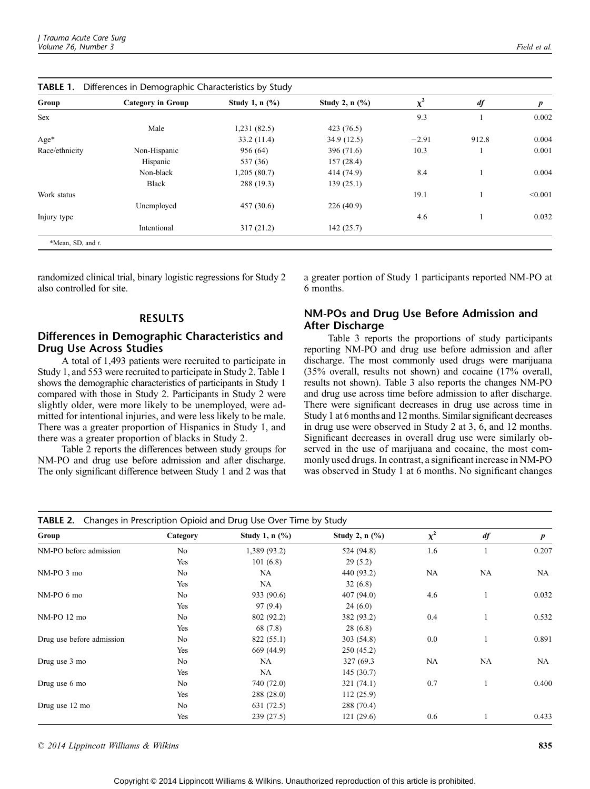also controlled for site.

| Group                   | <b>Category in Group</b> | Study 1, $n$ $(\%)$ | Study 2, $n$ $(\%)$ | $x^2$   | df    | p       |
|-------------------------|--------------------------|---------------------|---------------------|---------|-------|---------|
| <b>Sex</b>              |                          |                     |                     | 9.3     |       | 0.002   |
|                         | Male                     | 1,231(82.5)         | 423 (76.5)          |         |       |         |
| $Age*$                  |                          | 33.2(11.4)          | 34.9(12.5)          | $-2.91$ | 912.8 | 0.004   |
| Race/ethnicity          | Non-Hispanic             | 956 (64)            | 396 (71.6)          | 10.3    |       | 0.001   |
|                         | Hispanic                 | 537 (36)            | 157(28.4)           |         |       |         |
|                         | Non-black                | 1,205(80.7)         | 414 (74.9)          | 8.4     |       | 0.004   |
|                         | Black                    | 288 (19.3)          | 139(25.1)           |         |       |         |
| Work status             |                          |                     |                     | 19.1    |       | < 0.001 |
|                         | Unemployed               | 457(30.6)           | 226(40.9)           |         |       |         |
| Injury type             |                          |                     |                     | 4.6     |       | 0.032   |
|                         | Intentional              | 317(21.2)           | 142(25.7)           |         |       |         |
| $*$ Mean, SD, and $t$ . |                          |                     |                     |         |       |         |

randomized clinical trial, binary logistic regressions for Study 2

#### RESULTS

#### Differences in Demographic Characteristics and Drug Use Across Studies

A total of 1,493 patients were recruited to participate in Study 1, and 553 were recruited to participate in Study 2. Table 1 shows the demographic characteristics of participants in Study 1 compared with those in Study 2. Participants in Study 2 were slightly older, were more likely to be unemployed, were admitted for intentional injuries, and were less likely to be male. There was a greater proportion of Hispanics in Study 1, and there was a greater proportion of blacks in Study 2.

Table 2 reports the differences between study groups for NM-PO and drug use before admission and after discharge. The only significant difference between Study 1 and 2 was that a greater portion of Study 1 participants reported NM-PO at 6 months.

#### NM-POs and Drug Use Before Admission and After Discharge

Table 3 reports the proportions of study participants reporting NM-PO and drug use before admission and after discharge. The most commonly used drugs were marijuana (35% overall, results not shown) and cocaine (17% overall, results not shown). Table 3 also reports the changes NM-PO and drug use across time before admission to after discharge. There were significant decreases in drug use across time in Study 1 at 6 months and 12 months. Similar significant decreases in drug use were observed in Study 2 at 3, 6, and 12 months. Significant decreases in overall drug use were similarly observed in the use of marijuana and cocaine, the most commonly used drugs. In contrast, a significant increase in NM-PO was observed in Study 1 at 6 months. No significant changes

| Group                     | Category       | Study 1, $n$ $\left(\frac{9}{6}\right)$ | Study 2, $n$ $(\%)$ | $\chi^2$ | df | $\boldsymbol{p}$ |
|---------------------------|----------------|-----------------------------------------|---------------------|----------|----|------------------|
| NM-PO before admission    | No             | 1,389 (93.2)                            | 524 (94.8)          | 1.6      |    | 0.207            |
|                           | Yes            | 101(6.8)                                | 29(5.2)             |          |    |                  |
| NM-PO 3 mo                | No             | NA.                                     | 440 (93.2)          | NA       | NA | NA.              |
|                           | Yes            | NA.                                     | 32(6.8)             |          |    |                  |
| NM-PO 6 mo                | N <sub>0</sub> | 933 (90.6)                              | 407 (94.0)          | 4.6      |    | 0.032            |
|                           | Yes            | 97 (9.4)                                | 24(6.0)             |          |    |                  |
| NM-PO 12 mo               | N <sub>0</sub> | 802 (92.2)                              | 382 (93.2)          | 0.4      |    | 0.532            |
|                           | Yes            | 68 (7.8)                                | 28(6.8)             |          |    |                  |
| Drug use before admission | No             | 822 (55.1)                              | 303(54.8)           | 0.0      |    | 0.891            |
|                           | Yes            | 669 (44.9)                              | 250(45.2)           |          |    |                  |
| Drug use 3 mo             | No             | NA.                                     | 327 (69.3)          | NA       | NA | NA.              |
|                           | Yes            | NA.                                     | 145(30.7)           |          |    |                  |
| Drug use 6 mo             | N <sub>0</sub> | 740 (72.0)                              | 321(74.1)           | 0.7      |    | 0.400            |
|                           | Yes            | 288 (28.0)                              | 112(25.9)           |          |    |                  |
| Drug use 12 mo            | No             | 631 (72.5)                              | 288 (70.4)          |          |    |                  |
|                           | Yes            | 239(27.5)                               | 121(29.6)           | 0.6      |    | 0.433            |

 $\odot$  2014 Lippincott Williams & Wilkins 835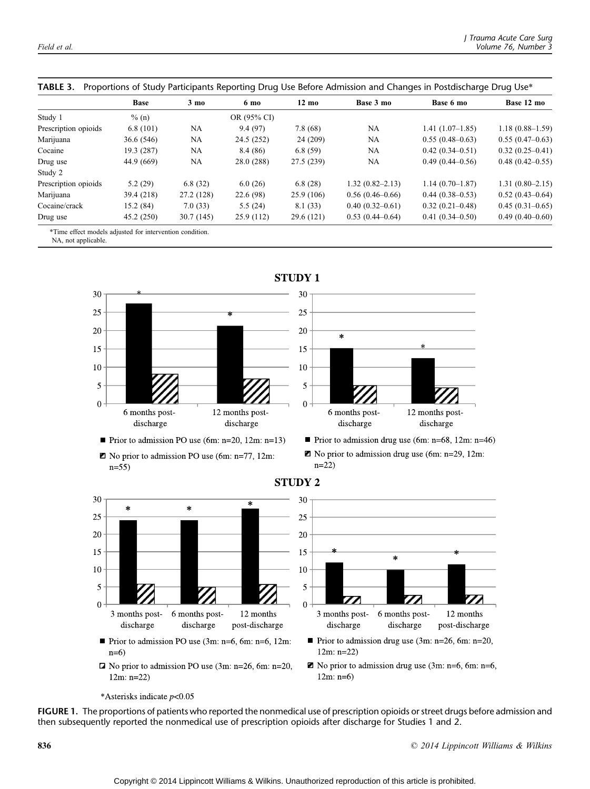|                      | <b>Base</b> | $3 \text{ mo}$ | 6 mo        | $12 \text{ mo}$ | Base 3 mo           | Base 6 mo           | Base 12 mo          |
|----------------------|-------------|----------------|-------------|-----------------|---------------------|---------------------|---------------------|
| Study 1              | $\%$ (n)    |                | OR (95% CI) |                 |                     |                     |                     |
| Prescription opioids | 6.8(101)    | NA.            | 9.4(97)     | 7.8 (68)        | <b>NA</b>           | $1.41(1.07-1.85)$   | $1.18(0.88 - 1.59)$ |
| Marijuana            | 36.6 (546)  | NA             | 24.5 (252)  | 24 (209)        | <b>NA</b>           | $0.55(0.48 - 0.63)$ | $0.55(0.47-0.63)$   |
| Cocaine              | 19.3 (287)  | NA.            | 8.4 (86)    | 6.8(59)         | <b>NA</b>           | $0.42(0.34 - 0.51)$ | $0.32(0.25 - 0.41)$ |
| Drug use             | 44.9 (669)  | NA             | 28.0 (288)  | 27.5(239)       | <b>NA</b>           | $0.49(0.44 - 0.56)$ | $0.48(0.42 - 0.55)$ |
| Study 2              |             |                |             |                 |                     |                     |                     |
| Prescription opioids | 5.2(29)     | 6.8(32)        | 6.0(26)     | 6.8(28)         | $1.32(0.82 - 2.13)$ | $1.14(0.70-1.87)$   | $1.31(0.80 - 2.15)$ |
| Marijuana            | 39.4 (218)  | 27.2 (128)     | 22.6 (98)   | 25.9 (106)      | $0.56(0.46 - 0.66)$ | $0.44(0.38-0.53)$   | $0.52(0.43 - 0.64)$ |
| Cocaine/crack        | 15.2(84)    | 7.0(33)        | 5.5(24)     | 8.1(33)         | $0.40(0.32 - 0.61)$ | $0.32(0.21 - 0.48)$ | $0.45(0.31-0.65)$   |
| Drug use             | 45.2(250)   | 30.7 (145)     | 25.9 (112)  | 29.6(121)       | $0.53(0.44 - 0.64)$ | $0.41(0.34 - 0.50)$ | $0.49(0.40-0.60)$   |

**STUDY 1** 

|  |  | TABLE 3. Proportions of Study Participants Reporting Drug Use Before Admission and Changes in Postdischarge Drug Use* |  |  |
|--|--|-----------------------------------------------------------------------------------------------------------------------|--|--|
|  |  | المتوان المتوان المتنادين المتحدث المتحدث المتحدث المتحدث المتحدث والمتحدث والمتحدث والمتحدث والمتحدث والمتحدث        |  |  |

Time effect models adjusted for intervention condition. NA, not applicable.

> 30 30 25 25 20 20  $\ast$ 15 15 10 10 5 5  $\overline{0}$  $\overline{0}$ 6 months post-12 months post-6 months post-12 months postdischarge discharge discharge discharge Prior to admission PO use (6m:  $n=20$ , 12m:  $n=13$ ) Prior to admission drug use (6m:  $n=68$ , 12m:  $n=46$ ) No prior to admission drug use (6m: n=29, 12m:  $\blacksquare$  No prior to admission PO use (6m: n=77, 12m:  $n=22$  $n=55$ **STUDY 2** 30 30  $\overline{\ast}$ ÷  $\star$ 25 25 20 20 15 15 × 10 10 5 5  $\overline{0}$  $\Omega$ 3 months post- 6 months post-12 months 6 months post-12 months 3 months postdischarge discharge discharge post-discharge discharge post-discharge Prior to admission PO use  $(3m: n=6, 6m: n=6, 12m:$ ■ Prior to admission drug use  $(3m: n=26, 6m: n=20,$  $12m: n=22$  $n=6$

 $\Box$  No prior to admission PO use (3m: n=26, 6m: n=20,  $12m: n=22$ 

 $\blacksquare$  No prior to admission drug use (3m: n=6, 6m: n=6,  $12m: n=6$ 

\*Asterisks indicate  $p<0.05$ 

FIGURE 1. The proportions of patients who reported the nonmedical use of prescription opioids or street drugs before admission and then subsequently reported the nonmedical use of prescription opioids after discharge for Studies 1 and 2.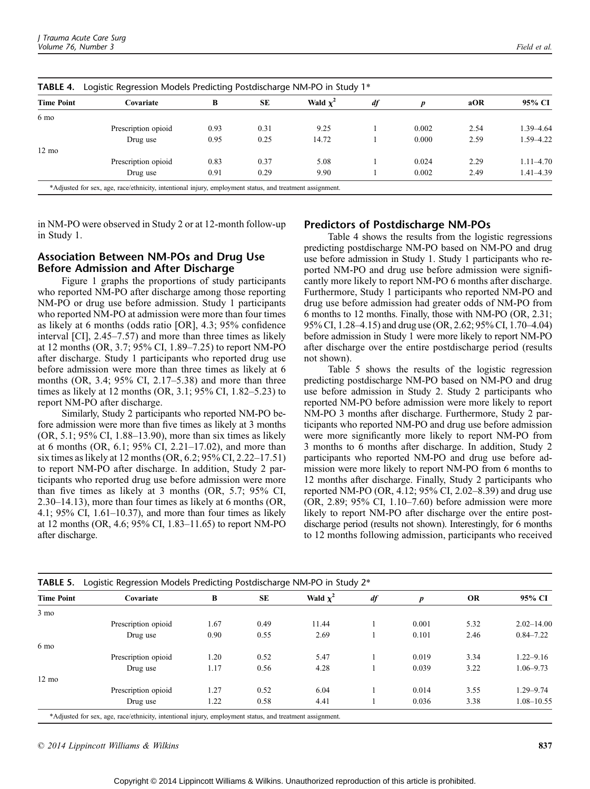| <b>Time Point</b> | Covariate           | B    | <b>SE</b> | Wald $\mathbf{x}^2$ | df |       | aOR  | 95% CI        |
|-------------------|---------------------|------|-----------|---------------------|----|-------|------|---------------|
| 6 mo              |                     |      |           |                     |    |       |      |               |
|                   | Prescription opioid | 0.93 | 0.31      | 9.25                |    | 0.002 | 2.54 | $1.39 - 4.64$ |
|                   | Drug use            | 0.95 | 0.25      | 14.72               |    | 0.000 | 2.59 | 1.59-4.22     |
| $12 \text{ mo}$   |                     |      |           |                     |    |       |      |               |
|                   | Prescription opioid | 0.83 | 0.37      | 5.08                |    | 0.024 | 2.29 | $1.11 - 4.70$ |
|                   | Drug use            | 0.91 | 0.29      | 9.90                |    | 0.002 | 2.49 | 1.41-4.39     |

|  |  | <b>TABLE 4.</b> Logistic Regression Models Predicting Postdischarge NM-PO in Study |  |
|--|--|------------------------------------------------------------------------------------|--|
|  |  |                                                                                    |  |

in NM-PO were observed in Study 2 or at 12-month follow-up in Study 1.

# Association Between NM-POs and Drug Use Before Admission and After Discharge

Figure 1 graphs the proportions of study participants who reported NM-PO after discharge among those reporting NM-PO or drug use before admission. Study 1 participants who reported NM-PO at admission were more than four times as likely at 6 months (odds ratio [OR], 4.3; 95% confidence interval  $\lbrack$  [CI], 2.45–7.57) and more than three times as likely at 12 months (OR, 3.7; 95% CI, 1.89–7.25) to report NM-PO after discharge. Study 1 participants who reported drug use before admission were more than three times as likely at 6 months (OR, 3.4;  $95\%$  CI, 2.17–5.38) and more than three times as likely at 12 months  $(OR, 3.1; 95\% \text{ CI}, 1.82-5.23)$  to report NM-PO after discharge.

Similarly, Study 2 participants who reported NM-PO before admission were more than five times as likely at 3 months  $(OR, 5.1; 95\% \text{ CI}, 1.88-13.90)$ , more than six times as likely at 6 months (OR, 6.1; 95% CI, 2.21–17.02), and more than six times as likely at 12 months (OR,  $6.2$ ;  $95\%$  CI,  $2.22-17.51$ ) to report NM-PO after discharge. In addition, Study 2 participants who reported drug use before admission were more than five times as likely at 3 months (OR, 5.7; 95% CI,  $2.30-14.13$ ), more than four times as likely at 6 months (OR, 4.1; 95% CI,  $1.61-10.37$ ), and more than four times as likely at 12 months (OR, 4.6; 95% CI, 1.83-11.65) to report NM-PO after discharge.

# Predictors of Postdischarge NM-POs

Table 4 shows the results from the logistic regressions predicting postdischarge NM-PO based on NM-PO and drug use before admission in Study 1. Study 1 participants who reported NM-PO and drug use before admission were significantly more likely to report NM-PO 6 months after discharge. Furthermore, Study 1 participants who reported NM-PO and drug use before admission had greater odds of NM-PO from 6 months to 12 months. Finally, those with NM-PO (OR, 2.31; 95% CI, 1.28–4.15) and drug use (OR, 2.62; 95% CI, 1.70–4.04) before admission in Study 1 were more likely to report NM-PO after discharge over the entire postdischarge period (results not shown).

Table 5 shows the results of the logistic regression predicting postdischarge NM-PO based on NM-PO and drug use before admission in Study 2. Study 2 participants who reported NM-PO before admission were more likely to report NM-PO 3 months after discharge. Furthermore, Study 2 participants who reported NM-PO and drug use before admission were more significantly more likely to report NM-PO from 3 months to 6 months after discharge. In addition, Study 2 participants who reported NM-PO and drug use before admission were more likely to report NM-PO from 6 months to 12 months after discharge. Finally, Study 2 participants who reported NM-PO (OR, 4.12;  $95\%$  CI, 2.02–8.39) and drug use  $(OR, 2.89; 95\% \text{ CI}, 1.10–7.60)$  before admission were more likely to report NM-PO after discharge over the entire postdischarge period (results not shown). Interestingly, for 6 months to 12 months following admission, participants who received

| <b>Time Point</b> | Covariate           | B    | <b>SE</b> | Wald $\chi^2$ | df | $\boldsymbol{p}$ | <b>OR</b> | 95% CI         |
|-------------------|---------------------|------|-----------|---------------|----|------------------|-----------|----------------|
| $3 \text{ mo}$    |                     |      |           |               |    |                  |           |                |
|                   | Prescription opioid | 1.67 | 0.49      | 11.44         |    | 0.001            | 5.32      | $2.02 - 14.00$ |
|                   | Drug use            | 0.90 | 0.55      | 2.69          |    | 0.101            | 2.46      | $0.84 - 7.22$  |
| $6 \text{ mo}$    |                     |      |           |               |    |                  |           |                |
|                   | Prescription opioid | 1.20 | 0.52      | 5.47          |    | 0.019            | 3.34      | $1.22 - 9.16$  |
|                   | Drug use            | 1.17 | 0.56      | 4.28          |    | 0.039            | 3.22      | $1.06 - 9.73$  |
| $12 \text{ mo}$   |                     |      |           |               |    |                  |           |                |
|                   | Prescription opioid | 1.27 | 0.52      | 6.04          |    | 0.014            | 3.55      | $1.29 - 9.74$  |
|                   | Drug use            | 1.22 | 0.58      | 4.41          |    | 0.036            | 3.38      | $1.08 - 10.55$ |

 $\odot$  2014 Lippincott Williams & Wilkins 837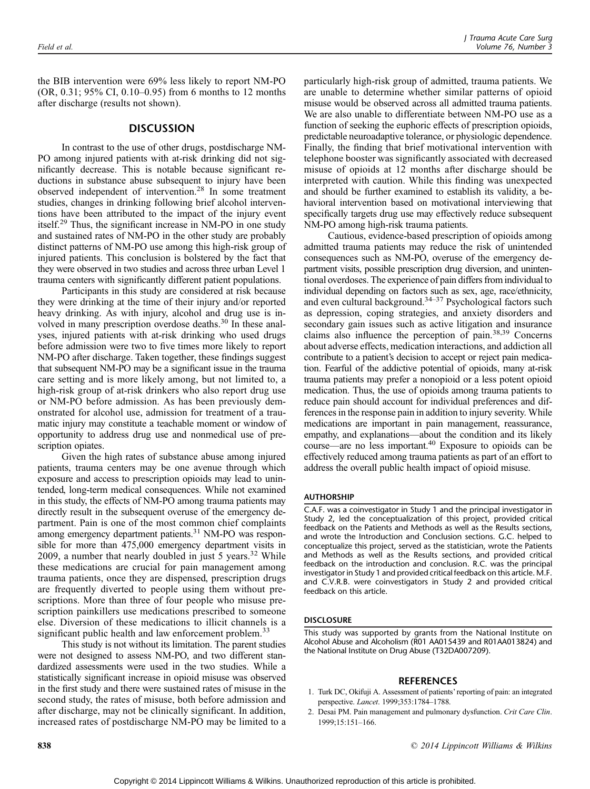the BIB intervention were 69% less likely to report NM-PO  $(OR, 0.31; 95\% \text{ CI}, 0.10-0.95)$  from 6 months to 12 months after discharge (results not shown).

#### **DISCUSSION**

In contrast to the use of other drugs, postdischarge NM-PO among injured patients with at-risk drinking did not significantly decrease. This is notable because significant reductions in substance abuse subsequent to injury have been observed independent of intervention.28 In some treatment studies, changes in drinking following brief alcohol interventions have been attributed to the impact of the injury event itself.<sup>29</sup> Thus, the significant increase in NM-PO in one study and sustained rates of NM-PO in the other study are probably distinct patterns of NM-PO use among this high-risk group of injured patients. This conclusion is bolstered by the fact that they were observed in two studies and across three urban Level 1 trauma centers with significantly different patient populations.

Participants in this study are considered at risk because they were drinking at the time of their injury and/or reported heavy drinking. As with injury, alcohol and drug use is involved in many prescription overdose deaths.<sup>30</sup> In these analyses, injured patients with at-risk drinking who used drugs before admission were two to five times more likely to report NM-PO after discharge. Taken together, these findings suggest that subsequent NM-PO may be a significant issue in the trauma care setting and is more likely among, but not limited to, a high-risk group of at-risk drinkers who also report drug use or NM-PO before admission. As has been previously demonstrated for alcohol use, admission for treatment of a traumatic injury may constitute a teachable moment or window of opportunity to address drug use and nonmedical use of prescription opiates.

Given the high rates of substance abuse among injured patients, trauma centers may be one avenue through which exposure and access to prescription opioids may lead to unintended, long-term medical consequences. While not examined in this study, the effects of NM-PO among trauma patients may directly result in the subsequent overuse of the emergency department. Pain is one of the most common chief complaints among emergency department patients.<sup>31</sup> NM-PO was responsible for more than 475,000 emergency department visits in 2009, a number that nearly doubled in just 5 years.<sup>32</sup> While these medications are crucial for pain management among trauma patients, once they are dispensed, prescription drugs are frequently diverted to people using them without prescriptions. More than three of four people who misuse prescription painkillers use medications prescribed to someone else. Diversion of these medications to illicit channels is a significant public health and law enforcement problem.<sup>33</sup>

This study is not without its limitation. The parent studies were not designed to assess NM-PO, and two different standardized assessments were used in the two studies. While a statistically significant increase in opioid misuse was observed in the first study and there were sustained rates of misuse in the second study, the rates of misuse, both before admission and after discharge, may not be clinically significant. In addition, increased rates of postdischarge NM-PO may be limited to a particularly high-risk group of admitted, trauma patients. We are unable to determine whether similar patterns of opioid misuse would be observed across all admitted trauma patients. We are also unable to differentiate between NM-PO use as a function of seeking the euphoric effects of prescription opioids, predictable neuroadaptive tolerance, or physiologic dependence. Finally, the finding that brief motivational intervention with telephone booster was significantly associated with decreased misuse of opioids at 12 months after discharge should be interpreted with caution. While this finding was unexpected and should be further examined to establish its validity, a behavioral intervention based on motivational interviewing that specifically targets drug use may effectively reduce subsequent NM-PO among high-risk trauma patients.

Cautious, evidence-based prescription of opioids among admitted trauma patients may reduce the risk of unintended consequences such as NM-PO, overuse of the emergency department visits, possible prescription drug diversion, and unintentional overdoses. The experience of pain differs from individual to individual depending on factors such as sex, age, race/ethnicity, and even cultural background. $34-37$  Psychological factors such as depression, coping strategies, and anxiety disorders and secondary gain issues such as active litigation and insurance claims also influence the perception of pain.38,39 Concerns about adverse effects, medication interactions, and addiction all contribute to a patient's decision to accept or reject pain medication. Fearful of the addictive potential of opioids, many at-risk trauma patients may prefer a nonopioid or a less potent opioid medication. Thus, the use of opioids among trauma patients to reduce pain should account for individual preferences and differences in the response pain in addition to injury severity. While medications are important in pain management, reassurance, empathy, and explanations-about the condition and its likely course—are no less important.<sup>40</sup> Exposure to opioids can be effectively reduced among trauma patients as part of an effort to address the overall public health impact of opioid misuse.

#### AUTHORSHIP

C.A.F. was a coinvestigator in Study 1 and the principal investigator in Study 2, led the conceptualization of this project, provided critical feedback on the Patients and Methods as well as the Results sections, and wrote the Introduction and Conclusion sections. G.C. helped to conceptualize this project, served as the statistician, wrote the Patients and Methods as well as the Results sections, and provided critical feedback on the introduction and conclusion. R.C. was the principal investigator in Study 1 and provided critical feedback on this article. M.F. and C.V.R.B. were coinvestigators in Study 2 and provided critical feedback on this article.

#### **DISCLOSURE**

This study was supported by grants from the National Institute on Alcohol Abuse and Alcoholism (R01 AA015439 and R01AA013824) and the National Institute on Drug Abuse (T32DA007209).

#### REFERENCES

- 1. Turk DC, Okifuji A. Assessment of patients' reporting of pain: an integrated perspective. Lancet. 1999;353:1784-1788.
- 2. Desai PM. Pain management and pulmonary dysfunction. Crit Care Clin. 1999;15:151-166.

838 **838 Example 2014** Lippincott Williams & Wilkins